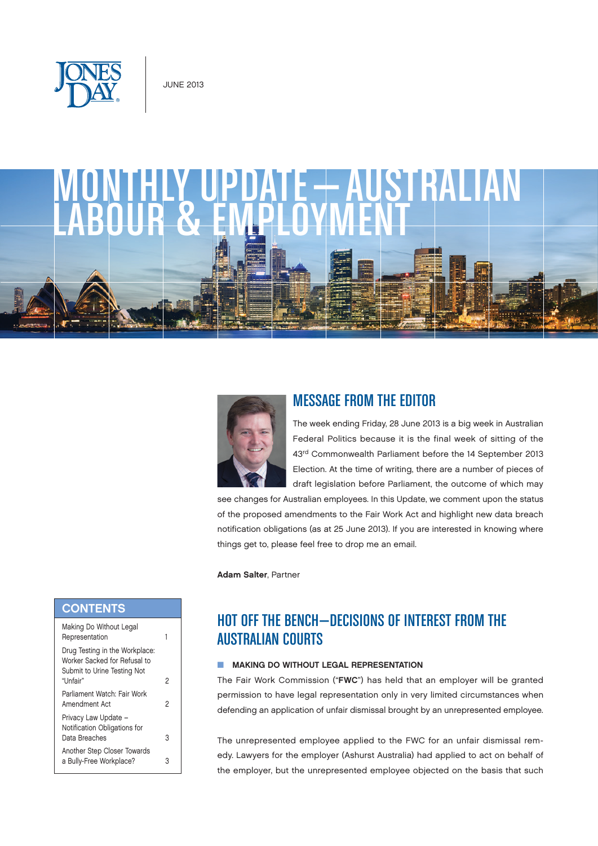





## MESSAGE FROM THE EDITOR

The week ending Friday, 28 June 2013 is a big week in Australian Federal Politics because it is the final week of sitting of the 43rd Commonwealth Parliament before the 14 September 2013 Election. At the time of writing, there are a number of pieces of draft legislation before Parliament, the outcome of which may

see changes for Australian employees. In this Update, we comment upon the status of the proposed amendments to the Fair Work Act and highlight new data breach notification obligations (as at 25 June 2013). If you are interested in knowing where things get to, please feel free to drop me an email.

Adam Salter, Partner

# HOT OFF THE BENCH—DECISIONS OF INTEREST FROM THE AUSTRALIAN COURTS

#### **NAKING DO WITHOUT LEGAL REPRESENTATION**

The Fair Work Commission ("FWC") has held that an employer will be granted permission to have legal representation only in very limited circumstances when defending an application of unfair dismissal brought by an unrepresented employee.

The unrepresented employee applied to the FWC for an unfair dismissal remedy. Lawyers for the employer (Ashurst Australia) had applied to act on behalf of the employer, but the unrepresented employee objected on the basis that such

#### **CONTENTS**

| Making Do Without Legal<br>Representation                                                     |   |
|-----------------------------------------------------------------------------------------------|---|
| Drug Testing in the Workplace:<br>Worker Sacked for Refusal to<br>Submit to Urine Testing Not |   |
| "Unfair"                                                                                      | 2 |
| Parliament Watch: Fair Work<br>Amendment Act                                                  | 2 |
| Privacy Law Update -<br>Notification Obligations for<br>Data Breaches                         | 3 |
| Another Step Closer Towards<br>a Bully-Free Workplace?                                        | 3 |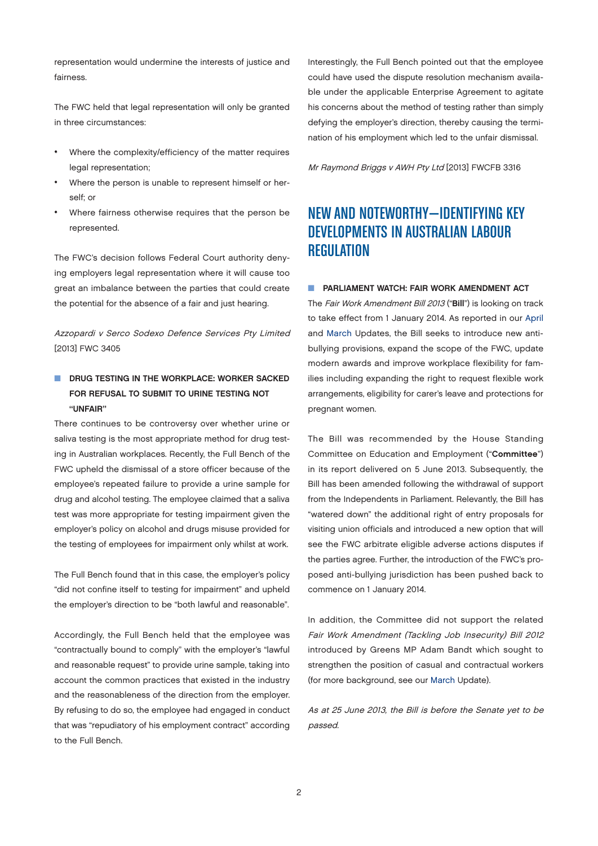<span id="page-1-0"></span>representation would undermine the interests of justice and fairness.

The FWC held that legal representation will only be granted in three circumstances:

- Where the complexity/efficiency of the matter requires legal representation;
- Where the person is unable to represent himself or herself; or
- Where fairness otherwise requires that the person be represented.

The FWC's decision follows Federal Court authority denying employers legal representation where it will cause too great an imbalance between the parties that could create the potential for the absence of a fair and just hearing.

Azzopardi v Serco Sodexo Defence Services Pty Limited [2013] FWC 3405

#### DRUG TESTING IN THE WORKPLACE: WORKER SACKED FOR REFUSAL TO SUBMIT TO URINE TESTING NOT "UNFAIR"

There continues to be controversy over whether urine or saliva testing is the most appropriate method for drug testing in Australian workplaces. Recently, the Full Bench of the FWC upheld the dismissal of a store officer because of the employee's repeated failure to provide a urine sample for drug and alcohol testing. The employee claimed that a saliva test was more appropriate for testing impairment given the employer's policy on alcohol and drugs misuse provided for the testing of employees for impairment only whilst at work.

The Full Bench found that in this case, the employer's policy "did not confine itself to testing for impairment" and upheld the employer's direction to be "both lawful and reasonable".

Accordingly, the Full Bench held that the employee was "contractually bound to comply" with the employer's "lawful and reasonable request" to provide urine sample, taking into account the common practices that existed in the industry and the reasonableness of the direction from the employer. By refusing to do so, the employee had engaged in conduct that was "repudiatory of his employment contract" according to the Full Bench.

Interestingly, the Full Bench pointed out that the employee could have used the dispute resolution mechanism available under the applicable Enterprise Agreement to agitate his concerns about the method of testing rather than simply defying the employer's direction, thereby causing the termination of his employment which led to the unfair dismissal.

Mr Raymond Briggs v AWH Pty Ltd [2013] FWCFB 3316

# NEW AND NOTEWORTHY—IDENTIFYING KEY DEVELOPMENTS IN AUSTRALIAN LABOUR **REGULATION**

#### **N** PARLIAMENT WATCH: FAIR WORK AMENDMENT ACT

The Fair Work Amendment Bill 2013 ("Bill") is looking on track to take effect from 1 January 2014. As reported in our [April](http://www.jonesday.com/files/Publication/5287d832-20fb-4f73-a82f-04b3a06ff4f8/Presentation/PublicationAttachment/3fdec062-48b3-494a-9a01-04f93335537a/Australian%20L%26E%20April%202013.pdf) and [March](http://www.jonesday.com/files/Publication/1f4385db-8da1-4808-8ffa-5702cbf1b3eb/Presentation/PublicationAttachment/fa10a205-a684-4f47-aac8-5a2c1cd413f5/Australian%20L%26E%20March%202013.pdf) Updates, the Bill seeks to introduce new antibullying provisions, expand the scope of the FWC, update modern awards and improve workplace flexibility for families including expanding the right to request flexible work arrangements, eligibility for carer's leave and protections for pregnant women.

The Bill was recommended by the House Standing Committee on Education and Employment ("Committee") in its report delivered on 5 June 2013. Subsequently, the Bill has been amended following the withdrawal of support from the Independents in Parliament. Relevantly, the Bill has "watered down" the additional right of entry proposals for visiting union officials and introduced a new option that will see the FWC arbitrate eligible adverse actions disputes if the parties agree. Further, the introduction of the FWC's proposed anti-bullying jurisdiction has been pushed back to commence on 1 January 2014.

In addition, the Committee did not support the related Fair Work Amendment (Tackling Job Insecurity) Bill 2012 introduced by Greens MP Adam Bandt which sought to strengthen the position of casual and contractual workers (for more background, see our [March](http://www.jonesday.com/files/Publication/1f4385db-8da1-4808-8ffa-5702cbf1b3eb/Presentation/PublicationAttachment/fa10a205-a684-4f47-aac8-5a2c1cd413f5/Australian%20L%26E%20March%202013.pdf) Update).

As at 25 June 2013, the Bill is before the Senate yet to be passed.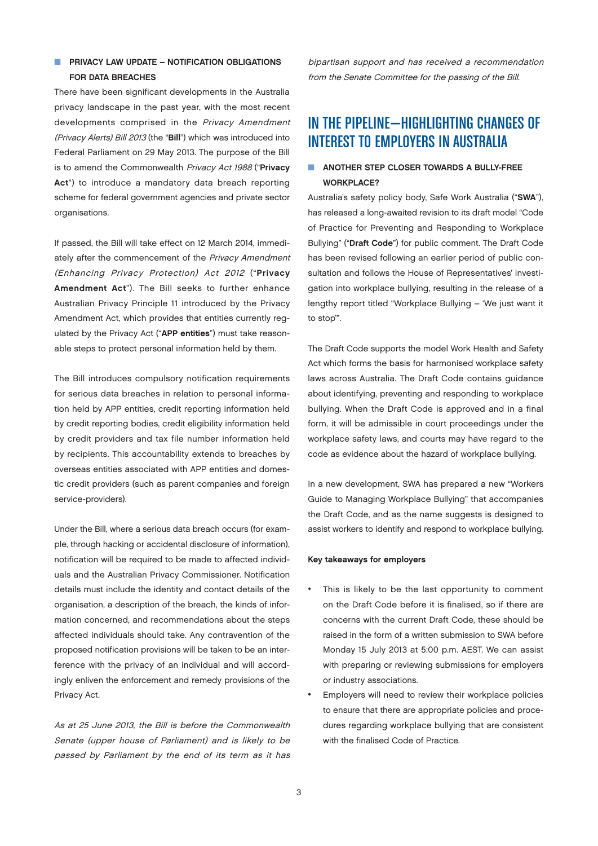#### <span id="page-2-0"></span> $\blacksquare$  PRIVACY LAW UPDATE – NOTIFICATION OBLIGATIONS FOR DATA BREACHES

There have been significant developments in the Australia privacy landscape in the past year, with the most recent developments comprised in the Privacy Amendment (Privacy Alerts) Bill 2013 (the "Bill") which was introduced into Federal Parliament on 29 May 2013. The purpose of the Bill is to amend the Commonwealth Privacy Act 1988 ("Privacy Act") to introduce a mandatory data breach reporting scheme for federal government agencies and private sector organisations.

If passed, the Bill will take effect on 12 March 2014, immediately after the commencement of the Privacy Amendment (Enhancing Privacy Protection) Act 2012 ("Privacy Amendment Act"). The Bill seeks to further enhance Australian Privacy Principle 11 introduced by the Privacy Amendment Act, which provides that entities currently regulated by the Privacy Act ("APP entities") must take reasonable steps to protect personal information held by them.

The Bill introduces compulsory notification requirements for serious data breaches in relation to personal information held by APP entities, credit reporting information held by credit reporting bodies, credit eligibility information held by credit providers and tax file number information held by recipients. This accountability extends to breaches by overseas entities associated with APP entities and domestic credit providers (such as parent companies and foreign service-providers).

Under the Bill, where a serious data breach occurs (for example, through hacking or accidental disclosure of information), notification will be required to be made to affected individuals and the Australian Privacy Commissioner. Notification details must include the identity and contact details of the organisation, a description of the breach, the kinds of information concerned, and recommendations about the steps affected individuals should take. Any contravention of the proposed notification provisions will be taken to be an interference with the privacy of an individual and will accordingly enliven the enforcement and remedy provisions of the Privacy Act.

As at 25 June 2013, the Bill is before the Commonwealth Senate (upper house of Parliament) and is likely to be passed by Parliament by the end of its term as it has bipartisan support and has received a recommendation from the Senate Committee for the passing of the Bill.

## IN THE PIPELINE—HIGHLIGHTING CHANGES OF INTEREST TO EMPLOYERS IN AUSTRALIA

#### **N** ANOTHER STEP CLOSER TOWARDS A BULLY-FREE WORKPLACE?

Australia's safety policy body, Safe Work Australia ("SWA"), has released a long-awaited revision to its draft model "Code of Practice for Preventing and Responding to Workplace Bullying" ("Draft Code") for public comment. The Draft Code has been revised following an earlier period of public consultation and follows the House of Representatives' investigation into workplace bullying, resulting in the release of a lengthy report titled "Workplace Bullying – 'We just want it to stop'".

The Draft Code supports the model Work Health and Safety Act which forms the basis for harmonised workplace safety laws across Australia. The Draft Code contains guidance about identifying, preventing and responding to workplace bullying. When the Draft Code is approved and in a final form, it will be admissible in court proceedings under the workplace safety laws, and courts may have regard to the code as evidence about the hazard of workplace bullying.

In a new development, SWA has prepared a new "Workers Guide to Managing Workplace Bullying" that accompanies the Draft Code, and as the name suggests is designed to assist workers to identify and respond to workplace bullying.

#### Key takeaways for employers

- This is likely to be the last opportunity to comment on the Draft Code before it is finalised, so if there are concerns with the current Draft Code, these should be raised in the form of a written submission to SWA before Monday 15 July 2013 at 5:00 p.m. AEST. We can assist with preparing or reviewing submissions for employers or industry associations.
- Employers will need to review their workplace policies to ensure that there are appropriate policies and procedures regarding workplace bullying that are consistent with the finalised Code of Practice.